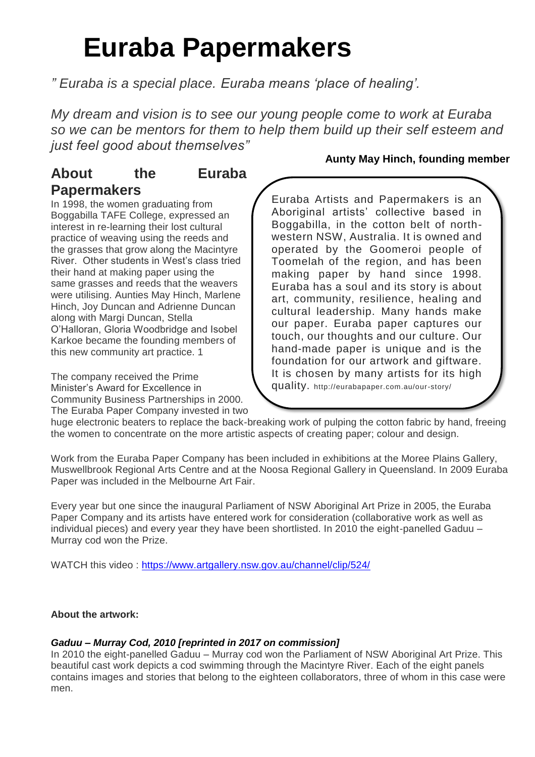# **Euraba Papermakers**

*" Euraba is a special place. Euraba means 'place of healing'.*

*My dream and vision is to see our young people come to work at Euraba so we can be mentors for them to help them build up their self esteem and just feel good about themselves"*

## **About the Euraba Papermakers**

In 1998, the women graduating from Boggabilla TAFE College, expressed an interest in re-learning their lost cultural practice of weaving using the reeds and

the grasses that grow along the Macintyre River. Other students in West's class tried their hand at making paper using the same grasses and reeds that the weavers were utilising. Aunties May Hinch, Marlene Hinch, Joy Duncan and Adrienne Duncan along with Margi Duncan, Stella O'Halloran, Gloria Woodbridge and Isobel Karkoe became the founding members of this new community art practice. 1

The company received the Prime Minister's Award for Excellence in Community Business Partnerships in 2000. The Euraba Paper Company invested in two

### **Aunty May Hinch, founding member**

Euraba Artists and Papermakers is an Aboriginal artists' collective based in Boggabilla, in the cotton belt of northwestern NSW, Australia. It is owned and operated by the Goomeroi people of Toomelah of the region, and has been making paper by hand since 1998. Euraba has a soul and its story is about art, community, resilience, healing and cultural leadership. Many hands make our paper. Euraba paper captures our touch, our thoughts and our culture. Our hand-made paper is unique and is the foundation for our artwork and giftware. It is chosen by many artists for its high quality. http://eurabapaper.com.au/our-story/

huge electronic beaters to replace the back-breaking work of pulping the cotton fabric by hand, freeing the women to concentrate on the more artistic aspects of creating paper; colour and design.

Work from the Euraba Paper Company has been included in exhibitions at the Moree Plains Gallery, Muswellbrook Regional Arts Centre and at the Noosa Regional Gallery in Queensland. In 2009 Euraba Paper was included in the Melbourne Art Fair.

Every year but one since the inaugural Parliament of NSW Aboriginal Art Prize in 2005, the Euraba Paper Company and its artists have entered work for consideration (collaborative work as well as individual pieces) and every year they have been shortlisted. In 2010 the eight-panelled Gaduu – Murray cod won the Prize.

WATCH this video :<https://www.artgallery.nsw.gov.au/channel/clip/524/>

#### **About the artwork:**

#### *Gaduu – Murray Cod, 2010 [reprinted in 2017 on commission]*

In 2010 the eight-panelled Gaduu – Murray cod won the Parliament of NSW Aboriginal Art Prize. This beautiful cast work depicts a cod swimming through the Macintyre River. Each of the eight panels contains images and stories that belong to the eighteen collaborators, three of whom in this case were men.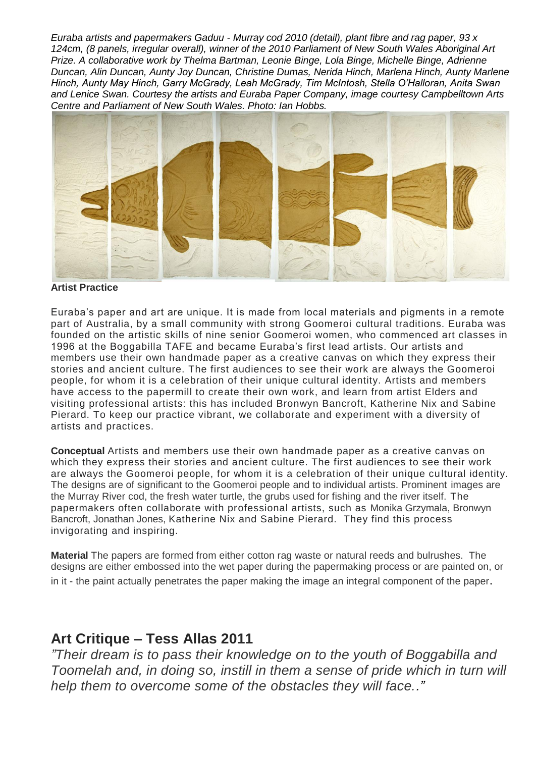*Euraba artists and papermakers Gaduu - Murray cod 2010 (detail), plant fibre and rag paper, 93 x 124cm, (8 panels, irregular overall), winner of the 2010 Parliament of New South Wales Aboriginal Art Prize. A collaborative work by Thelma Bartman, Leonie Binge, Lola Binge, Michelle Binge, Adrienne Duncan, Alin Duncan, Aunty Joy Duncan, Christine Dumas, Nerida Hinch, Marlena Hinch, Aunty Marlene Hinch, Aunty May Hinch, Garry McGrady, Leah McGrady, Tim McIntosh, Stella O'Halloran, Anita Swan and Lenice Swan. Courtesy the artists and Euraba Paper Company, image courtesy Campbelltown Arts Centre and Parliament of New South Wales. Photo: Ian Hobbs.*



#### **Artist Practice**

Euraba's paper and art are unique. It is made from local materials and pigments in a remote part of Australia, by a small community with strong Goomeroi cultural traditions. Euraba was founded on the artistic skills of nine senior Goomeroi women, who commenced art classes in 1996 at the Boggabilla TAFE and became Euraba's first lead artists. Our artists and members use their own handmade paper as a creative canvas on which they express their stories and ancient culture. The first audiences to see their work are always the Goomeroi people, for whom it is a celebration of their unique cultural identity. Artists and members have access to the papermill to create their own work, and learn from artist Elders and visiting professional artists: this has included Bronwyn Bancroft, Katherine Nix and Sabine Pierard. To keep our practice vibrant, we collaborate and experiment with a diversity of artists and practices.

**Conceptual** Artists and members use their own handmade paper as a creative canvas on which they express their stories and ancient culture. The first audiences to see their work are always the Goomeroi people, for whom it is a celebration of their unique cultural identity. The designs are of significant to the Goomeroi people and to individual artists. Prominent images are the Murray River cod, the fresh water turtle, the grubs used for fishing and the river itself. The papermakers often collaborate with professional artists, such as Monika Grzymala, Bronwyn Bancroft, Jonathan Jones, Katherine Nix and Sabine Pierard. They find this process invigorating and inspiring.

**Material** The papers are formed from either cotton rag waste or natural reeds and bulrushes. The designs are either embossed into the wet paper during the papermaking process or are painted on, or in it - the paint actually penetrates the paper making the image an integral component of the paper.

## **Art Critique – Tess Allas 2011**

*"Their dream is to pass their knowledge on to the youth of Boggabilla and Toomelah and, in doing so, instill in them a sense of pride which in turn will help them to overcome some of the obstacles they will face.."*